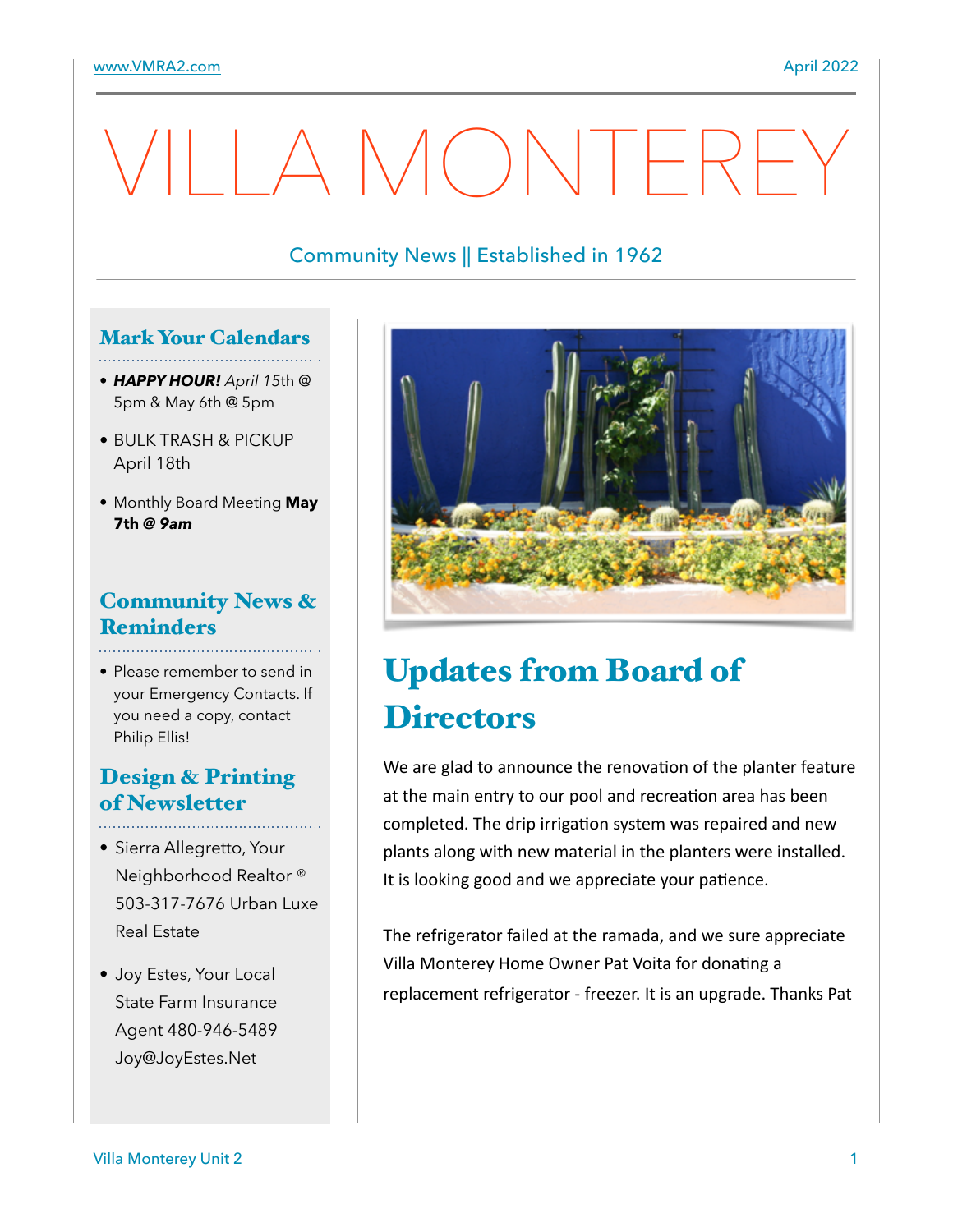# A MONTEREY

#### Community News || Established in 1962

#### Mark Your Calendars

- *HAPPY HOUR! April 15*th @ 5pm & May 6th @ 5pm
- BULK TRASH & PICKUP April 18th
- Monthly Board Meeting **May 7th** *@ 9am*

## Community News & **Reminders**

• Please remember to send in your Emergency Contacts. If you need a copy, contact Philip Ellis!

### Design & Printing of Newsletter

- Sierra Allegretto, Your Neighborhood Realtor ® 503-317-7676 Urban Luxe Real Estate
- Joy Estes, Your Local State Farm Insurance Agent 480-946-5489 Joy@JoyEstes.Net



# Updates from Board of **Directors**

We are glad to announce the renovation of the planter feature at the main entry to our pool and recreation area has been completed. The drip irrigation system was repaired and new plants along with new material in the planters were installed. It is looking good and we appreciate your patience.

The refrigerator failed at the ramada, and we sure appreciate Villa Monterey Home Owner Pat Voita for donating a replacement refrigerator - freezer. It is an upgrade. Thanks Pat